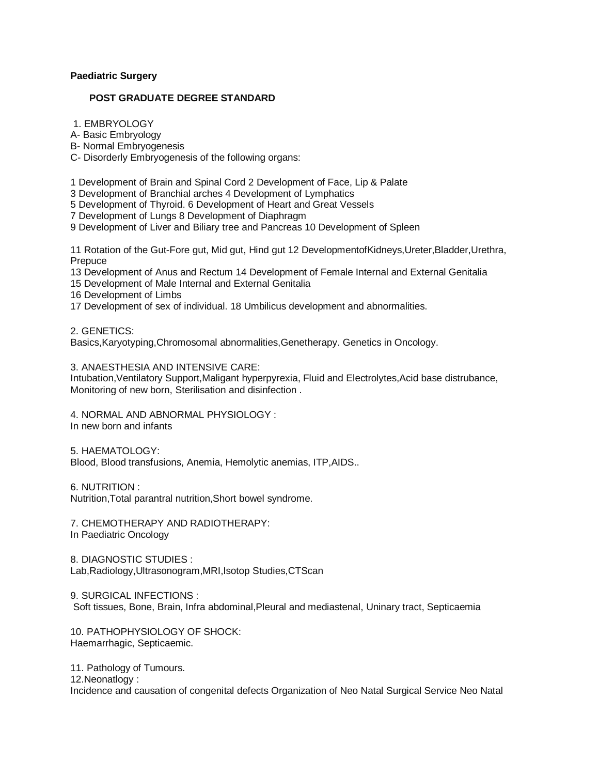# **[Paediatric Surgery](http://tnpsc.gov.in/paeonepg1.htm)**

# **POST GRADUATE DEGREE STANDARD**

1. EMBRYOLOGY

A- Basic Embryology

B- Normal Embryogenesis

C- Disorderly Embryogenesis of the following organs:

1 Development of Brain and Spinal Cord 2 Development of Face, Lip & Palate

3 Development of Branchial arches 4 Development of Lymphatics

5 Development of Thyroid. 6 Development of Heart and Great Vessels

7 Development of Lungs 8 Development of Diaphragm

9 Development of Liver and Biliary tree and Pancreas 10 Development of Spleen

11 Rotation of the Gut-Fore gut, Mid gut, Hind gut 12 DevelopmentofKidneys,Ureter,Bladder,Urethra, **Prepuce** 

13 Development of Anus and Rectum 14 Development of Female Internal and External Genitalia

15 Development of Male Internal and External Genitalia

16 Development of Limbs

17 Development of sex of individual. 18 Umbilicus development and abnormalities.

2. GENETICS:

Basics,Karyotyping,Chromosomal abnormalities,Genetherapy. Genetics in Oncology.

3. ANAESTHESIA AND INTENSIVE CARE:

Intubation,Ventilatory Support,Maligant hyperpyrexia, Fluid and Electrolytes,Acid base distrubance, Monitoring of new born, Sterilisation and disinfection .

4. NORMAL AND ABNORMAL PHYSIOLOGY :

In new born and infants

5. HAEMATOLOGY: Blood, Blood transfusions, Anemia, Hemolytic anemias, ITP,AIDS..

6. NUTRITION :

Nutrition,Total parantral nutrition,Short bowel syndrome.

7. CHEMOTHERAPY AND RADIOTHERAPY:

In Paediatric Oncology

8. DIAGNOSTIC STUDIES : Lab,Radiology,Ultrasonogram,MRI,Isotop Studies,CTScan

9. SURGICAL INFECTIONS : Soft tissues, Bone, Brain, Infra abdominal,Pleural and mediastenal, Uninary tract, Septicaemia

10. PATHOPHYSIOLOGY OF SHOCK: Haemarrhagic, Septicaemic.

11. Pathology of Tumours. 12.Neonatlogy : Incidence and causation of congenital defects Organization of Neo Natal Surgical Service Neo Natal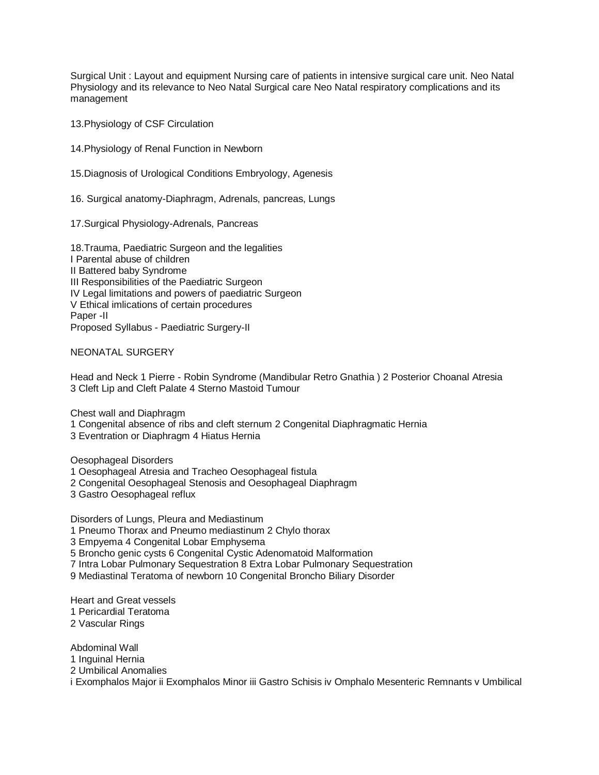Surgical Unit : Layout and equipment Nursing care of patients in intensive surgical care unit. Neo Natal Physiology and its relevance to Neo Natal Surgical care Neo Natal respiratory complications and its management

13.Physiology of CSF Circulation

14.Physiology of Renal Function in Newborn

15.Diagnosis of Urological Conditions Embryology, Agenesis

16. Surgical anatomy-Diaphragm, Adrenals, pancreas, Lungs

17.Surgical Physiology-Adrenals, Pancreas

18.Trauma, Paediatric Surgeon and the legalities I Parental abuse of children II Battered baby Syndrome III Responsibilities of the Paediatric Surgeon IV Legal limitations and powers of paediatric Surgeon V Ethical imlications of certain procedures Paper -II Proposed Syllabus - Paediatric Surgery-II

NEONATAL SURGERY

Head and Neck 1 Pierre - Robin Syndrome (Mandibular Retro Gnathia ) 2 Posterior Choanal Atresia 3 Cleft Lip and Cleft Palate 4 Sterno Mastoid Tumour

Chest wall and Diaphragm

1 Congenital absence of ribs and cleft sternum 2 Congenital Diaphragmatic Hernia

3 Eventration or Diaphragm 4 Hiatus Hernia

Oesophageal Disorders

1 Oesophageal Atresia and Tracheo Oesophageal fistula

2 Congenital Oesophageal Stenosis and Oesophageal Diaphragm

3 Gastro Oesophageal reflux

Disorders of Lungs, Pleura and Mediastinum 1 Pneumo Thorax and Pneumo mediastinum 2 Chylo thorax 3 Empyema 4 Congenital Lobar Emphysema 5 Broncho genic cysts 6 Congenital Cystic Adenomatoid Malformation 7 Intra Lobar Pulmonary Sequestration 8 Extra Lobar Pulmonary Sequestration 9 Mediastinal Teratoma of newborn 10 Congenital Broncho Biliary Disorder

Heart and Great vessels 1 Pericardial Teratoma 2 Vascular Rings

Abdominal Wall 1 Inguinal Hernia 2 Umbilical Anomalies i Exomphalos Major ii Exomphalos Minor iii Gastro Schisis iv Omphalo Mesenteric Remnants v Umbilical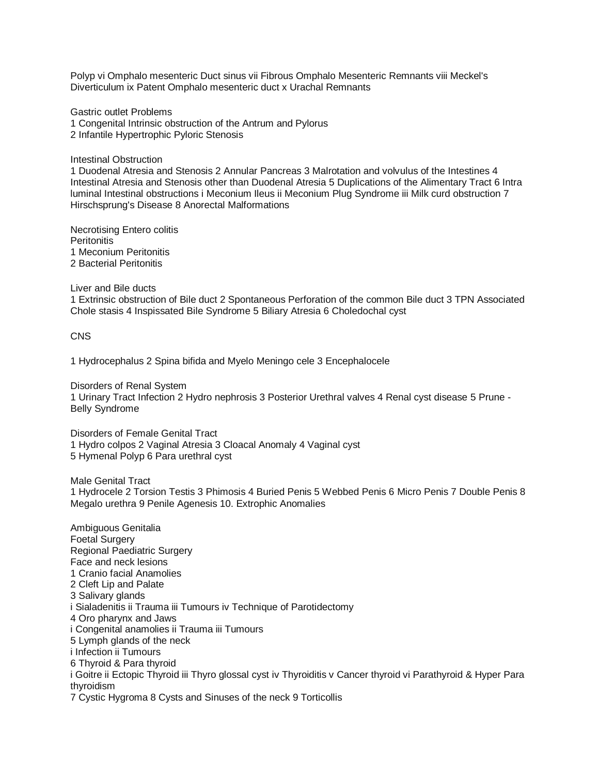Polyp vi Omphalo mesenteric Duct sinus vii Fibrous Omphalo Mesenteric Remnants viii Meckel's Diverticulum ix Patent Omphalo mesenteric duct x Urachal Remnants

Gastric outlet Problems 1 Congenital Intrinsic obstruction of the Antrum and Pylorus 2 Infantile Hypertrophic Pyloric Stenosis

Intestinal Obstruction

1 Duodenal Atresia and Stenosis 2 Annular Pancreas 3 Malrotation and volvulus of the Intestines 4 Intestinal Atresia and Stenosis other than Duodenal Atresia 5 Duplications of the Alimentary Tract 6 Intra luminal Intestinal obstructions i Meconium Ileus ii Meconium Plug Syndrome iii Milk curd obstruction 7 Hirschsprung's Disease 8 Anorectal Malformations

Necrotising Entero colitis **Peritonitis** 1 Meconium Peritonitis 2 Bacterial Peritonitis

Liver and Bile ducts

1 Extrinsic obstruction of Bile duct 2 Spontaneous Perforation of the common Bile duct 3 TPN Associated Chole stasis 4 Inspissated Bile Syndrome 5 Biliary Atresia 6 Choledochal cyst

CNS

1 Hydrocephalus 2 Spina bifida and Myelo Meningo cele 3 Encephalocele

Disorders of Renal System 1 Urinary Tract Infection 2 Hydro nephrosis 3 Posterior Urethral valves 4 Renal cyst disease 5 Prune - Belly Syndrome

Disorders of Female Genital Tract 1 Hydro colpos 2 Vaginal Atresia 3 Cloacal Anomaly 4 Vaginal cyst 5 Hymenal Polyp 6 Para urethral cyst

Male Genital Tract 1 Hydrocele 2 Torsion Testis 3 Phimosis 4 Buried Penis 5 Webbed Penis 6 Micro Penis 7 Double Penis 8 Megalo urethra 9 Penile Agenesis 10. Extrophic Anomalies

Ambiguous Genitalia Foetal Surgery Regional Paediatric Surgery Face and neck lesions 1 Cranio facial Anamolies 2 Cleft Lip and Palate 3 Salivary glands i Sialadenitis ii Trauma iii Tumours iv Technique of Parotidectomy 4 Oro pharynx and Jaws i Congenital anamolies ii Trauma iii Tumours 5 Lymph glands of the neck i Infection ii Tumours 6 Thyroid & Para thyroid i Goitre ii Ectopic Thyroid iii Thyro glossal cyst iv Thyroiditis v Cancer thyroid vi Parathyroid & Hyper Para thyroidism 7 Cystic Hygroma 8 Cysts and Sinuses of the neck 9 Torticollis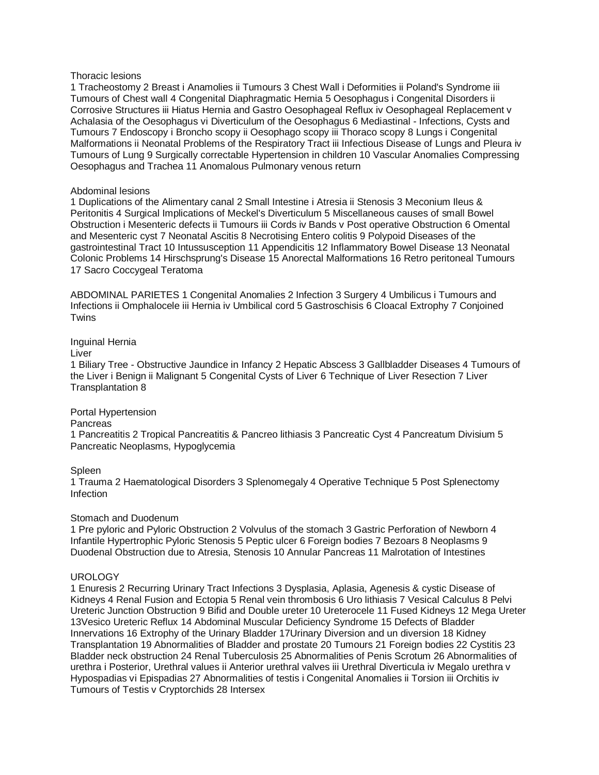### Thoracic lesions

1 Tracheostomy 2 Breast i Anamolies ii Tumours 3 Chest Wall i Deformities ii Poland's Syndrome iii Tumours of Chest wall 4 Congenital Diaphragmatic Hernia 5 Oesophagus i Congenital Disorders ii Corrosive Structures iii Hiatus Hernia and Gastro Oesophageal Reflux iv Oesophageal Replacement v Achalasia of the Oesophagus vi Diverticulum of the Oesophagus 6 Mediastinal - Infections, Cysts and Tumours 7 Endoscopy i Broncho scopy ii Oesophago scopy iii Thoraco scopy 8 Lungs i Congenital Malformations ii Neonatal Problems of the Respiratory Tract iii Infectious Disease of Lungs and Pleura iv Tumours of Lung 9 Surgically correctable Hypertension in children 10 Vascular Anomalies Compressing Oesophagus and Trachea 11 Anomalous Pulmonary venous return

### Abdominal lesions

1 Duplications of the Alimentary canal 2 Small Intestine i Atresia ii Stenosis 3 Meconium Ileus & Peritonitis 4 Surgical Implications of Meckel's Diverticulum 5 Miscellaneous causes of small Bowel Obstruction i Mesenteric defects ii Tumours iii Cords iv Bands v Post operative Obstruction 6 Omental and Mesenteric cyst 7 Neonatal Ascitis 8 Necrotising Entero colitis 9 Polypoid Diseases of the gastrointestinal Tract 10 Intussusception 11 Appendicitis 12 Inflammatory Bowel Disease 13 Neonatal Colonic Problems 14 Hirschsprung's Disease 15 Anorectal Malformations 16 Retro peritoneal Tumours 17 Sacro Coccygeal Teratoma

ABDOMINAL PARIETES 1 Congenital Anomalies 2 Infection 3 Surgery 4 Umbilicus i Tumours and Infections ii Omphalocele iii Hernia iv Umbilical cord 5 Gastroschisis 6 Cloacal Extrophy 7 Conjoined **Twins** 

# Inguinal Hernia

Liver

1 Biliary Tree - Obstructive Jaundice in Infancy 2 Hepatic Abscess 3 Gallbladder Diseases 4 Tumours of the Liver i Benign ii Malignant 5 Congenital Cysts of Liver 6 Technique of Liver Resection 7 Liver Transplantation 8

# Portal Hypertension

#### **Pancreas**

1 Pancreatitis 2 Tropical Pancreatitis & Pancreo lithiasis 3 Pancreatic Cyst 4 Pancreatum Divisium 5 Pancreatic Neoplasms, Hypoglycemia

# Spleen

1 Trauma 2 Haematological Disorders 3 Splenomegaly 4 Operative Technique 5 Post Splenectomy Infection

# Stomach and Duodenum

1 Pre pyloric and Pyloric Obstruction 2 Volvulus of the stomach 3 Gastric Perforation of Newborn 4 Infantile Hypertrophic Pyloric Stenosis 5 Peptic ulcer 6 Foreign bodies 7 Bezoars 8 Neoplasms 9 Duodenal Obstruction due to Atresia, Stenosis 10 Annular Pancreas 11 Malrotation of Intestines

# **UROLOGY**

1 Enuresis 2 Recurring Urinary Tract Infections 3 Dysplasia, Aplasia, Agenesis & cystic Disease of Kidneys 4 Renal Fusion and Ectopia 5 Renal vein thrombosis 6 Uro lithiasis 7 Vesical Calculus 8 Pelvi Ureteric Junction Obstruction 9 Bifid and Double ureter 10 Ureterocele 11 Fused Kidneys 12 Mega Ureter 13Vesico Ureteric Reflux 14 Abdominal Muscular Deficiency Syndrome 15 Defects of Bladder Innervations 16 Extrophy of the Urinary Bladder 17Urinary Diversion and un diversion 18 Kidney Transplantation 19 Abnormalities of Bladder and prostate 20 Tumours 21 Foreign bodies 22 Cystitis 23 Bladder neck obstruction 24 Renal Tuberculosis 25 Abnormalities of Penis Scrotum 26 Abnormalities of urethra i Posterior, Urethral values ii Anterior urethral valves iii Urethral Diverticula iv Megalo urethra v Hypospadias vi Epispadias 27 Abnormalities of testis i Congenital Anomalies ii Torsion iii Orchitis iv Tumours of Testis v Cryptorchids 28 Intersex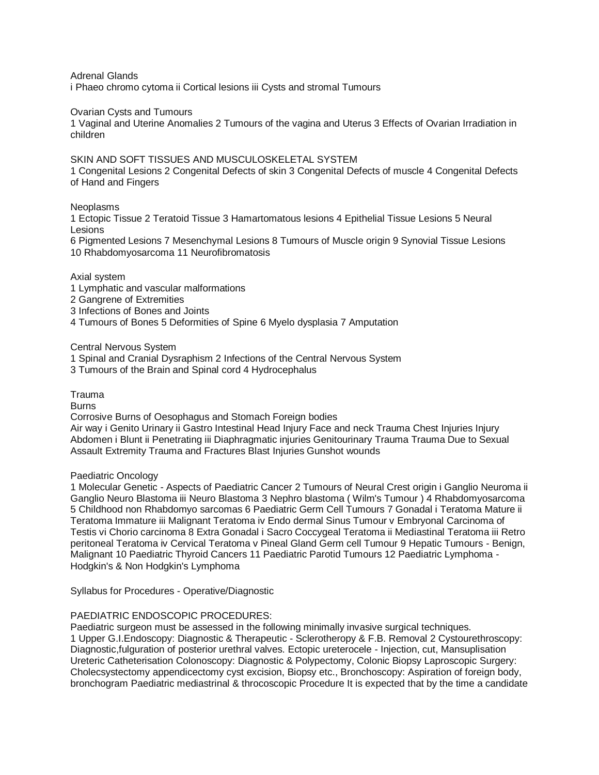Adrenal Glands

i Phaeo chromo cytoma ii Cortical lesions iii Cysts and stromal Tumours

### Ovarian Cysts and Tumours

1 Vaginal and Uterine Anomalies 2 Tumours of the vagina and Uterus 3 Effects of Ovarian Irradiation in children

### SKIN AND SOFT TISSUES AND MUSCULOSKELETAL SYSTEM

1 Congenital Lesions 2 Congenital Defects of skin 3 Congenital Defects of muscle 4 Congenital Defects of Hand and Fingers

### Neoplasms

1 Ectopic Tissue 2 Teratoid Tissue 3 Hamartomatous lesions 4 Epithelial Tissue Lesions 5 Neural Lesions

6 Pigmented Lesions 7 Mesenchymal Lesions 8 Tumours of Muscle origin 9 Synovial Tissue Lesions 10 Rhabdomyosarcoma 11 Neurofibromatosis

### Axial system

- 1 Lymphatic and vascular malformations
- 2 Gangrene of Extremities
- 3 Infections of Bones and Joints
- 4 Tumours of Bones 5 Deformities of Spine 6 Myelo dysplasia 7 Amputation

Central Nervous System

- 1 Spinal and Cranial Dysraphism 2 Infections of the Central Nervous System
- 3 Tumours of the Brain and Spinal cord 4 Hydrocephalus

Trauma

Burns

Corrosive Burns of Oesophagus and Stomach Foreign bodies

Air way i Genito Urinary ii Gastro Intestinal Head Injury Face and neck Trauma Chest Injuries Injury Abdomen i Blunt ii Penetrating iii Diaphragmatic injuries Genitourinary Trauma Trauma Due to Sexual Assault Extremity Trauma and Fractures Blast Injuries Gunshot wounds

#### Paediatric Oncology

1 Molecular Genetic - Aspects of Paediatric Cancer 2 Tumours of Neural Crest origin i Ganglio Neuroma ii Ganglio Neuro Blastoma iii Neuro Blastoma 3 Nephro blastoma ( Wilm's Tumour ) 4 Rhabdomyosarcoma 5 Childhood non Rhabdomyo sarcomas 6 Paediatric Germ Cell Tumours 7 Gonadal i Teratoma Mature ii Teratoma Immature iii Malignant Teratoma iv Endo dermal Sinus Tumour v Embryonal Carcinoma of Testis vi Chorio carcinoma 8 Extra Gonadal i Sacro Coccygeal Teratoma ii Mediastinal Teratoma iii Retro peritoneal Teratoma iv Cervical Teratoma v Pineal Gland Germ cell Tumour 9 Hepatic Tumours - Benign, Malignant 10 Paediatric Thyroid Cancers 11 Paediatric Parotid Tumours 12 Paediatric Lymphoma - Hodgkin's & Non Hodgkin's Lymphoma

Syllabus for Procedures - Operative/Diagnostic

# PAEDIATRIC ENDOSCOPIC PROCEDURES:

Paediatric surgeon must be assessed in the following minimally invasive surgical techniques. 1 Upper G.I.Endoscopy: Diagnostic & Therapeutic - Sclerotheropy & F.B. Removal 2 Cystourethroscopy: Diagnostic,fulguration of posterior urethral valves. Ectopic ureterocele - Injection, cut, Mansuplisation Ureteric Catheterisation Colonoscopy: Diagnostic & Polypectomy, Colonic Biopsy Laproscopic Surgery: Cholecsystectomy appendicectomy cyst excision, Biopsy etc., Bronchoscopy: Aspiration of foreign body, bronchogram Paediatric mediastrinal & throcoscopic Procedure It is expected that by the time a candidate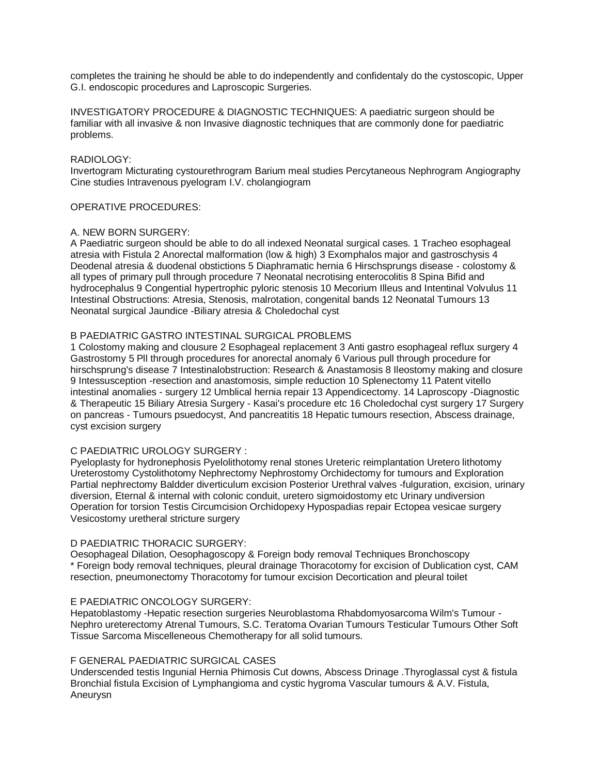completes the training he should be able to do independently and confidentaly do the cystoscopic, Upper G.I. endoscopic procedures and Laproscopic Surgeries.

INVESTIGATORY PROCEDURE & DIAGNOSTIC TECHNIQUES: A paediatric surgeon should be familiar with all invasive & non Invasive diagnostic techniques that are commonly done for paediatric problems.

# RADIOLOGY:

Invertogram Micturating cystourethrogram Barium meal studies Percytaneous Nephrogram Angiography Cine studies Intravenous pyelogram I.V. cholangiogram

# OPERATIVE PROCEDURES:

# A. NEW BORN SURGERY:

A Paediatric surgeon should be able to do all indexed Neonatal surgical cases. 1 Tracheo esophageal atresia with Fistula 2 Anorectal malformation (low & high) 3 Exomphalos major and gastroschysis 4 Deodenal atresia & duodenal obstictions 5 Diaphramatic hernia 6 Hirschsprungs disease - colostomy & all types of primary pull through procedure 7 Neonatal necrotising enterocolitis 8 Spina Bifid and hydrocephalus 9 Congential hypertrophic pyloric stenosis 10 Mecorium Illeus and Intentinal Volvulus 11 Intestinal Obstructions: Atresia, Stenosis, malrotation, congenital bands 12 Neonatal Tumours 13 Neonatal surgical Jaundice -Biliary atresia & Choledochal cyst

# B PAEDIATRIC GASTRO INTESTINAL SURGICAL PROBLEMS

1 Colostomy making and clousure 2 Esophageal replacement 3 Anti gastro esophageal reflux surgery 4 Gastrostomy 5 Pll through procedures for anorectal anomaly 6 Various pull through procedure for hirschsprung's disease 7 Intestinalobstruction: Research & Anastamosis 8 Ileostomy making and closure 9 Intessusception -resection and anastomosis, simple reduction 10 Splenectomy 11 Patent vitello intestinal anomalies - surgery 12 Umblical hernia repair 13 Appendicectomy. 14 Laproscopy -Diagnostic & Therapeutic 15 Biliary Atresia Surgery - Kasai's procedure etc 16 Choledochal cyst surgery 17 Surgery on pancreas - Tumours psuedocyst, And pancreatitis 18 Hepatic tumours resection, Abscess drainage, cyst excision surgery

# C PAEDIATRIC UROLOGY SURGERY :

Pyeloplasty for hydronephosis Pyelolithotomy renal stones Ureteric reimplantation Uretero lithotomy Ureterostomy Cystolithotomy Nephrectomy Nephrostomy Orchidectomy for tumours and Exploration Partial nephrectomy Baldder diverticulum excision Posterior Urethral valves -fulguration, excision, urinary diversion, Eternal & internal with colonic conduit, uretero sigmoidostomy etc Urinary undiversion Operation for torsion Testis Circumcision Orchidopexy Hypospadias repair Ectopea vesicae surgery Vesicostomy uretheral stricture surgery

# D PAEDIATRIC THORACIC SURGERY:

Oesophageal Dilation, Oesophagoscopy & Foreign body removal Techniques Bronchoscopy \* Foreign body removal techniques, pleural drainage Thoracotomy for excision of Dublication cyst, CAM resection, pneumonectomy Thoracotomy for tumour excision Decortication and pleural toilet

# E PAEDIATRIC ONCOLOGY SURGERY:

Hepatoblastomy -Hepatic resection surgeries Neuroblastoma Rhabdomyosarcoma Wilm's Tumour - Nephro ureterectomy Atrenal Tumours, S.C. Teratoma Ovarian Tumours Testicular Tumours Other Soft Tissue Sarcoma Miscelleneous Chemotherapy for all solid tumours.

# F GENERAL PAEDIATRIC SURGICAL CASES

Underscended testis Ingunial Hernia Phimosis Cut downs, Abscess Drinage .Thyroglassal cyst & fistula Bronchial fistula Excision of Lymphangioma and cystic hygroma Vascular tumours & A.V. Fistula, Aneurysn